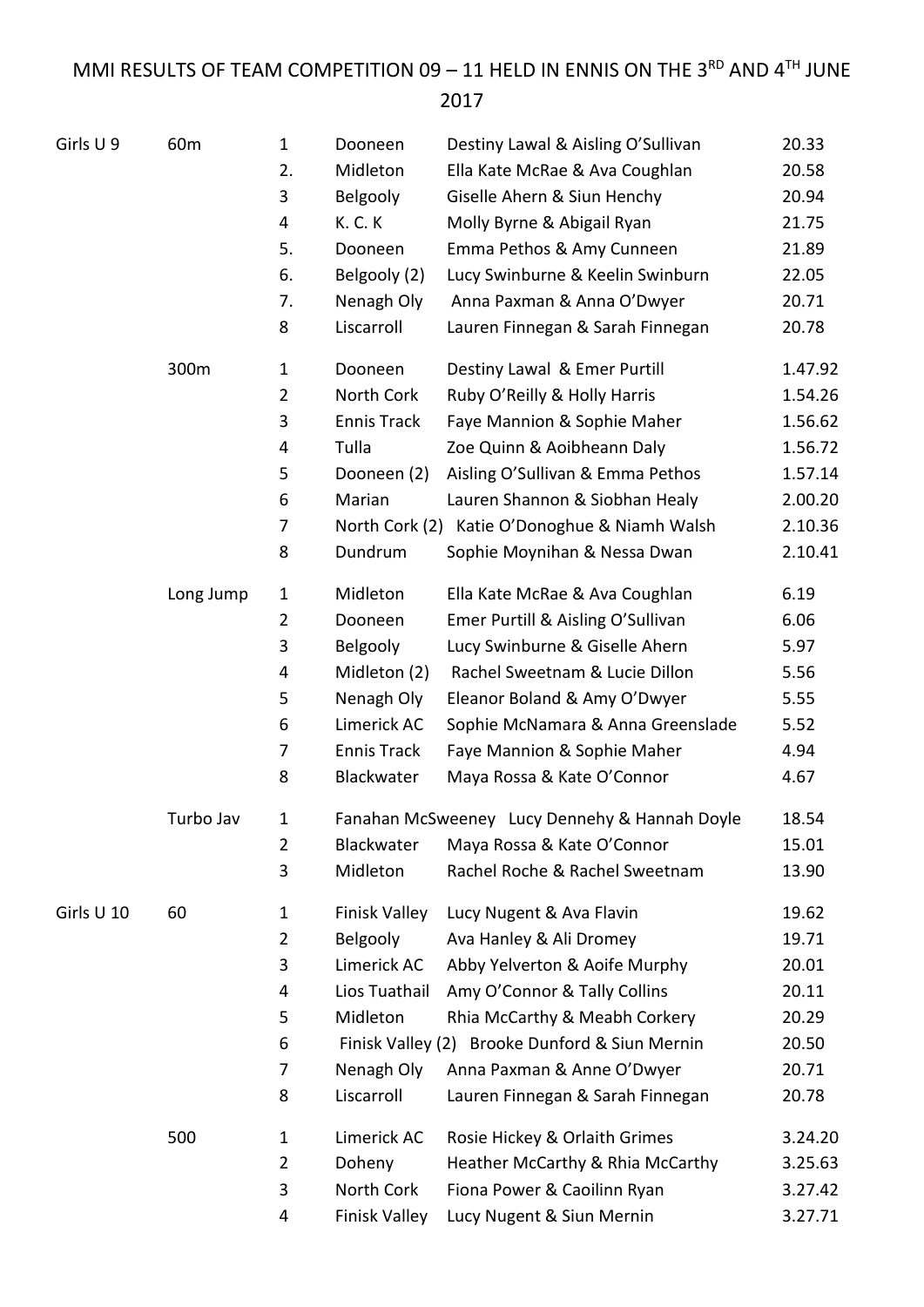MMI RESULTS OF TEAM COMPETITION 09 - 11 HELD IN ENNIS ON THE 3RD AND  $4^{TH}$  JUNE

## 

| Girls U9   | 60 <sub>m</sub> | $\mathbf{1}$   | Dooneen              | Destiny Lawal & Aisling O'Sullivan             | 20.33   |
|------------|-----------------|----------------|----------------------|------------------------------------------------|---------|
|            |                 | 2.             | Midleton             | Ella Kate McRae & Ava Coughlan                 | 20.58   |
|            |                 | 3              | Belgooly             | Giselle Ahern & Siun Henchy                    | 20.94   |
|            |                 | 4              | <b>K.C.K</b>         | Molly Byrne & Abigail Ryan                     | 21.75   |
|            |                 | 5.             | Dooneen              | Emma Pethos & Amy Cunneen                      | 21.89   |
|            |                 | 6.             | Belgooly (2)         | Lucy Swinburne & Keelin Swinburn               | 22.05   |
|            |                 | 7.             | Nenagh Oly           | Anna Paxman & Anna O'Dwyer                     | 20.71   |
|            |                 | 8              | Liscarroll           | Lauren Finnegan & Sarah Finnegan               | 20.78   |
|            | 300m            | $\mathbf{1}$   | Dooneen              | Destiny Lawal & Emer Purtill                   | 1.47.92 |
|            |                 | $\overline{2}$ | North Cork           | Ruby O'Reilly & Holly Harris                   | 1.54.26 |
|            |                 | 3              | <b>Ennis Track</b>   | Faye Mannion & Sophie Maher                    | 1.56.62 |
|            |                 | 4              | Tulla                | Zoe Quinn & Aoibheann Daly                     | 1.56.72 |
|            |                 | 5              | Dooneen (2)          | Aisling O'Sullivan & Emma Pethos               | 1.57.14 |
|            |                 | 6              | Marian               | Lauren Shannon & Siobhan Healy                 | 2.00.20 |
|            |                 | 7              |                      | North Cork (2) Katie O'Donoghue & Niamh Walsh  | 2.10.36 |
|            |                 | 8              | Dundrum              | Sophie Moynihan & Nessa Dwan                   | 2.10.41 |
|            | Long Jump       | $\mathbf{1}$   | Midleton             | Ella Kate McRae & Ava Coughlan                 | 6.19    |
|            |                 | $\overline{2}$ | Dooneen              | Emer Purtill & Aisling O'Sullivan              | 6.06    |
|            |                 | 3              | Belgooly             | Lucy Swinburne & Giselle Ahern                 | 5.97    |
|            |                 | 4              | Midleton (2)         | Rachel Sweetnam & Lucie Dillon                 | 5.56    |
|            |                 | 5              | Nenagh Oly           | Eleanor Boland & Amy O'Dwyer                   | 5.55    |
|            |                 | 6              | Limerick AC          | Sophie McNamara & Anna Greenslade              | 5.52    |
|            |                 | 7              | <b>Ennis Track</b>   | Faye Mannion & Sophie Maher                    | 4.94    |
|            |                 | 8              | Blackwater           | Maya Rossa & Kate O'Connor                     | 4.67    |
|            | Turbo Jav       | 1              |                      | Fanahan McSweeney Lucy Dennehy & Hannah Doyle  | 18.54   |
|            |                 | $\overline{2}$ | Blackwater           | Maya Rossa & Kate O'Connor                     | 15.01   |
|            |                 | 3              | Midleton             | Rachel Roche & Rachel Sweetnam                 | 13.90   |
| Girls U 10 | 60              | $\mathbf{1}$   | Finisk Valley        | Lucy Nugent & Ava Flavin                       | 19.62   |
|            |                 | $\overline{2}$ | Belgooly             | Ava Hanley & Ali Dromey                        | 19.71   |
|            |                 | 3              | Limerick AC          | Abby Yelverton & Aoife Murphy                  | 20.01   |
|            |                 | 4              | Lios Tuathail        | Amy O'Connor & Tally Collins                   | 20.11   |
|            |                 | 5              | Midleton             | Rhia McCarthy & Meabh Corkery                  | 20.29   |
|            |                 | 6              |                      | Finisk Valley (2) Brooke Dunford & Siun Mernin | 20.50   |
|            |                 | 7              | Nenagh Oly           | Anna Paxman & Anne O'Dwyer                     | 20.71   |
|            |                 | 8              | Liscarroll           | Lauren Finnegan & Sarah Finnegan               | 20.78   |
|            | 500             | $\mathbf{1}$   | Limerick AC          | Rosie Hickey & Orlaith Grimes                  | 3.24.20 |
|            |                 | $\overline{2}$ | Doheny               | Heather McCarthy & Rhia McCarthy               | 3.25.63 |
|            |                 | 3              | North Cork           | Fiona Power & Caoilinn Ryan                    | 3.27.42 |
|            |                 | 4              | <b>Finisk Valley</b> | Lucy Nugent & Siun Mernin                      | 3.27.71 |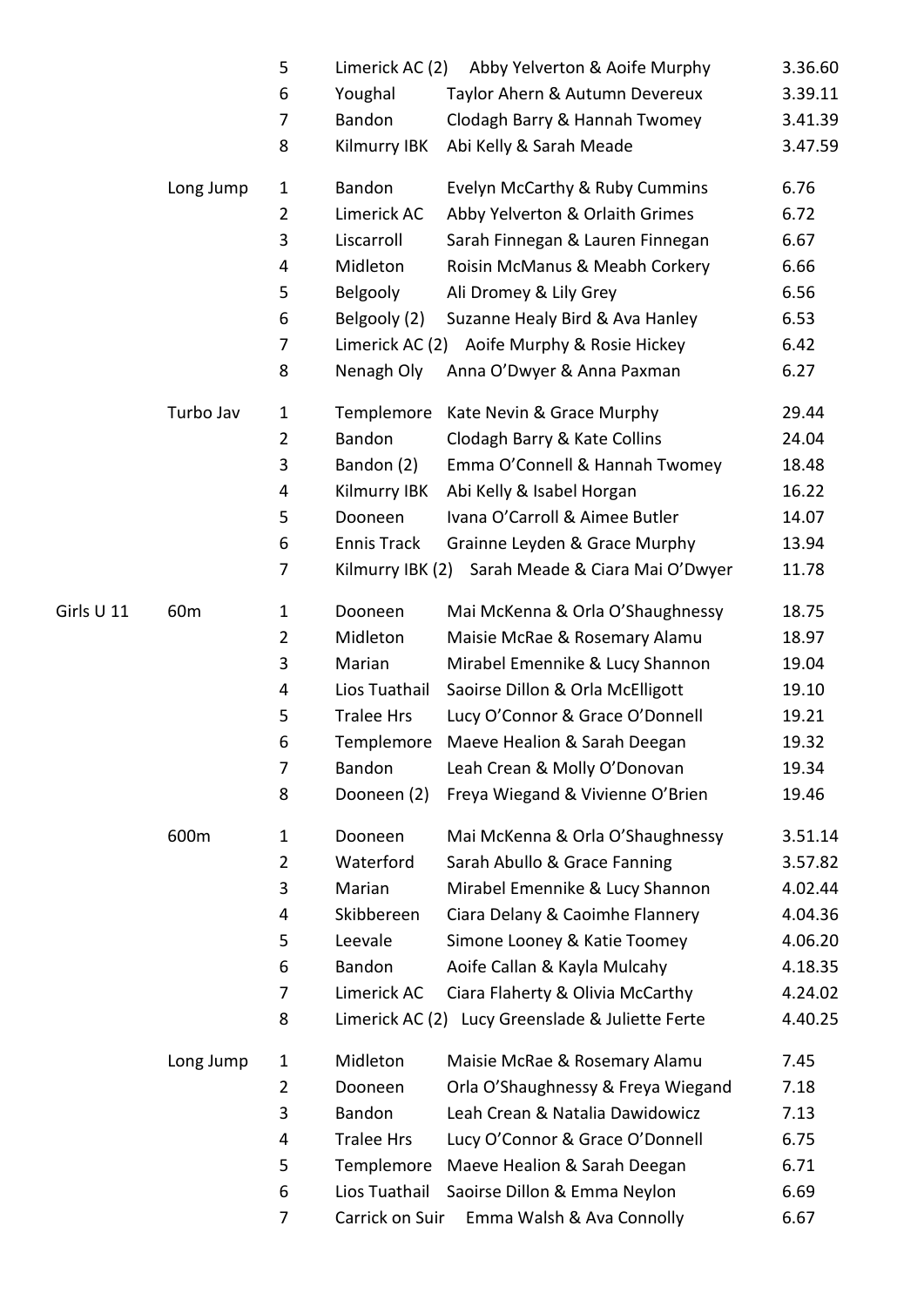|            |                 | 5              | Limerick AC (2)    | Abby Yelverton & Aoife Murphy                    | 3.36.60 |
|------------|-----------------|----------------|--------------------|--------------------------------------------------|---------|
|            |                 | 6              | Youghal            | Taylor Ahern & Autumn Devereux                   | 3.39.11 |
|            |                 | 7              | Bandon             | Clodagh Barry & Hannah Twomey                    | 3.41.39 |
|            |                 | 8              | Kilmurry IBK       | Abi Kelly & Sarah Meade                          | 3.47.59 |
|            | Long Jump       | $\mathbf{1}$   | Bandon             | Evelyn McCarthy & Ruby Cummins                   | 6.76    |
|            |                 | $\overline{2}$ | Limerick AC        | Abby Yelverton & Orlaith Grimes                  | 6.72    |
|            |                 | 3              | Liscarroll         | Sarah Finnegan & Lauren Finnegan                 | 6.67    |
|            |                 | 4              | Midleton           | Roisin McManus & Meabh Corkery                   | 6.66    |
|            |                 | 5              | Belgooly           | Ali Dromey & Lily Grey                           | 6.56    |
|            |                 | 6              | Belgooly (2)       | Suzanne Healy Bird & Ava Hanley                  | 6.53    |
|            |                 | 7              | Limerick AC (2)    | Aoife Murphy & Rosie Hickey                      | 6.42    |
|            |                 | 8              | Nenagh Oly         | Anna O'Dwyer & Anna Paxman                       | 6.27    |
|            | Turbo Jav       | $\mathbf{1}$   | Templemore         | Kate Nevin & Grace Murphy                        | 29.44   |
|            |                 | $\overline{2}$ | Bandon             | Clodagh Barry & Kate Collins                     | 24.04   |
|            |                 | 3              | Bandon (2)         | Emma O'Connell & Hannah Twomey                   | 18.48   |
|            |                 | 4              | Kilmurry IBK       | Abi Kelly & Isabel Horgan                        | 16.22   |
|            |                 | 5              | Dooneen            | Ivana O'Carroll & Aimee Butler                   | 14.07   |
|            |                 | 6              | <b>Ennis Track</b> | Grainne Leyden & Grace Murphy                    | 13.94   |
|            |                 | 7              | Kilmurry IBK (2)   | Sarah Meade & Ciara Mai O'Dwyer                  | 11.78   |
| Girls U 11 | 60 <sub>m</sub> | $\mathbf 1$    | Dooneen            | Mai McKenna & Orla O'Shaughnessy                 | 18.75   |
|            |                 | $\overline{2}$ | Midleton           | Maisie McRae & Rosemary Alamu                    | 18.97   |
|            |                 | 3              | Marian             | Mirabel Emennike & Lucy Shannon                  | 19.04   |
|            |                 | 4              | Lios Tuathail      | Saoirse Dillon & Orla McElligott                 | 19.10   |
|            |                 | 5              | <b>Tralee Hrs</b>  | Lucy O'Connor & Grace O'Donnell                  | 19.21   |
|            |                 | 6              | Templemore         | Maeve Healion & Sarah Deegan                     | 19.32   |
|            |                 | $\overline{7}$ | Bandon             | Leah Crean & Molly O'Donovan                     | 19.34   |
|            |                 | 8              | Dooneen (2)        | Freya Wiegand & Vivienne O'Brien                 | 19.46   |
|            | 600m            | $\mathbf{1}$   | Dooneen            | Mai McKenna & Orla O'Shaughnessy                 | 3.51.14 |
|            |                 | $\overline{2}$ | Waterford          | Sarah Abullo & Grace Fanning                     | 3.57.82 |
|            |                 | 3              | Marian             | Mirabel Emennike & Lucy Shannon                  | 4.02.44 |
|            |                 | 4              | Skibbereen         | Ciara Delany & Caoimhe Flannery                  | 4.04.36 |
|            |                 | 5              | Leevale            | Simone Looney & Katie Toomey                     | 4.06.20 |
|            |                 | 6              | Bandon             | Aoife Callan & Kayla Mulcahy                     | 4.18.35 |
|            |                 | $\overline{7}$ | Limerick AC        | Ciara Flaherty & Olivia McCarthy                 | 4.24.02 |
|            |                 | 8              |                    | Limerick AC (2) Lucy Greenslade & Juliette Ferte | 4.40.25 |
|            | Long Jump       | 1              | Midleton           | Maisie McRae & Rosemary Alamu                    | 7.45    |
|            |                 | $\overline{2}$ | Dooneen            | Orla O'Shaughnessy & Freya Wiegand               | 7.18    |
|            |                 | 3              | Bandon             | Leah Crean & Natalia Dawidowicz                  | 7.13    |
|            |                 | 4              | <b>Tralee Hrs</b>  | Lucy O'Connor & Grace O'Donnell                  | 6.75    |
|            |                 | 5              | Templemore         | Maeve Healion & Sarah Deegan                     | 6.71    |
|            |                 | 6              | Lios Tuathail      | Saoirse Dillon & Emma Neylon                     | 6.69    |
|            |                 | 7              | Carrick on Suir    | Emma Walsh & Ava Connolly                        | 6.67    |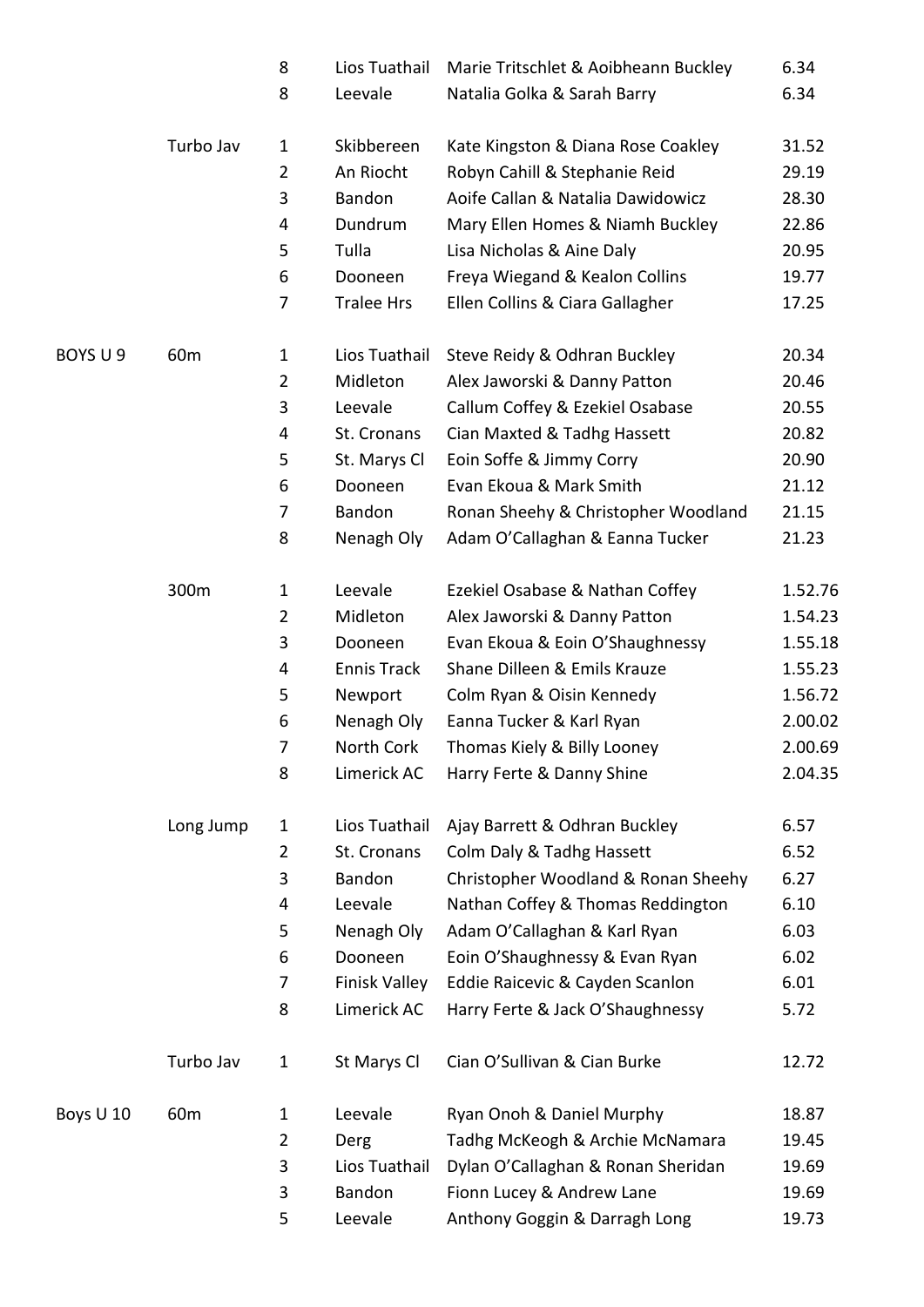|           |                 | 8              | Lios Tuathail        | Marie Tritschlet & Aoibheann Buckley | 6.34    |
|-----------|-----------------|----------------|----------------------|--------------------------------------|---------|
|           |                 | 8              | Leevale              | Natalia Golka & Sarah Barry          | 6.34    |
|           | Turbo Jav       | 1              | Skibbereen           | Kate Kingston & Diana Rose Coakley   | 31.52   |
|           |                 | $\overline{2}$ | An Riocht            | Robyn Cahill & Stephanie Reid        | 29.19   |
|           |                 | 3              | Bandon               | Aoife Callan & Natalia Dawidowicz    | 28.30   |
|           |                 | 4              | Dundrum              | Mary Ellen Homes & Niamh Buckley     | 22.86   |
|           |                 | 5              | Tulla                | Lisa Nicholas & Aine Daly            | 20.95   |
|           |                 | 6              | Dooneen              | Freya Wiegand & Kealon Collins       | 19.77   |
|           |                 | 7              | <b>Tralee Hrs</b>    | Ellen Collins & Ciara Gallagher      | 17.25   |
| BOYS U 9  | 60 <sub>m</sub> | 1              | Lios Tuathail        | Steve Reidy & Odhran Buckley         | 20.34   |
|           |                 | $\overline{2}$ | Midleton             | Alex Jaworski & Danny Patton         | 20.46   |
|           |                 | 3              | Leevale              | Callum Coffey & Ezekiel Osabase      | 20.55   |
|           |                 | 4              | St. Cronans          | Cian Maxted & Tadhg Hassett          | 20.82   |
|           |                 | 5              | St. Marys Cl         | Eoin Soffe & Jimmy Corry             | 20.90   |
|           |                 | 6              | Dooneen              | Evan Ekoua & Mark Smith              | 21.12   |
|           |                 | 7              | Bandon               | Ronan Sheehy & Christopher Woodland  | 21.15   |
|           |                 | 8              | Nenagh Oly           | Adam O'Callaghan & Eanna Tucker      | 21.23   |
|           | 300m            | 1              | Leevale              | Ezekiel Osabase & Nathan Coffey      | 1.52.76 |
|           |                 | $\overline{2}$ | Midleton             | Alex Jaworski & Danny Patton         | 1.54.23 |
|           |                 | 3              | Dooneen              | Evan Ekoua & Eoin O'Shaughnessy      | 1.55.18 |
|           |                 | 4              | <b>Ennis Track</b>   | Shane Dilleen & Emils Krauze         | 1.55.23 |
|           |                 | 5              | Newport              | Colm Ryan & Oisin Kennedy            | 1.56.72 |
|           |                 | 6              | Nenagh Oly           | Eanna Tucker & Karl Ryan             | 2.00.02 |
|           |                 | 7              | North Cork           | Thomas Kiely & Billy Looney          | 2.00.69 |
|           |                 | 8              | Limerick AC          | Harry Ferte & Danny Shine            | 2.04.35 |
|           | Long Jump       | 1              | Lios Tuathail        | Ajay Barrett & Odhran Buckley        | 6.57    |
|           |                 | $\overline{2}$ | St. Cronans          | Colm Daly & Tadhg Hassett            | 6.52    |
|           |                 | 3              | Bandon               | Christopher Woodland & Ronan Sheehy  | 6.27    |
|           |                 | 4              | Leevale              | Nathan Coffey & Thomas Reddington    | 6.10    |
|           |                 | 5              | Nenagh Oly           | Adam O'Callaghan & Karl Ryan         | 6.03    |
|           |                 | 6              | Dooneen              | Eoin O'Shaughnessy & Evan Ryan       | 6.02    |
|           |                 | 7              | <b>Finisk Valley</b> | Eddie Raicevic & Cayden Scanlon      | 6.01    |
|           |                 | 8              | Limerick AC          | Harry Ferte & Jack O'Shaughnessy     | 5.72    |
|           | Turbo Jav       | 1              | St Marys Cl          | Cian O'Sullivan & Cian Burke         | 12.72   |
| Boys U 10 | 60 <sub>m</sub> | $\mathbf 1$    | Leevale              | Ryan Onoh & Daniel Murphy            | 18.87   |
|           |                 | $\overline{2}$ | Derg                 | Tadhg McKeogh & Archie McNamara      | 19.45   |
|           |                 | 3              | Lios Tuathail        | Dylan O'Callaghan & Ronan Sheridan   | 19.69   |
|           |                 | 3              | Bandon               | Fionn Lucey & Andrew Lane            | 19.69   |
|           |                 | 5              | Leevale              | Anthony Goggin & Darragh Long        | 19.73   |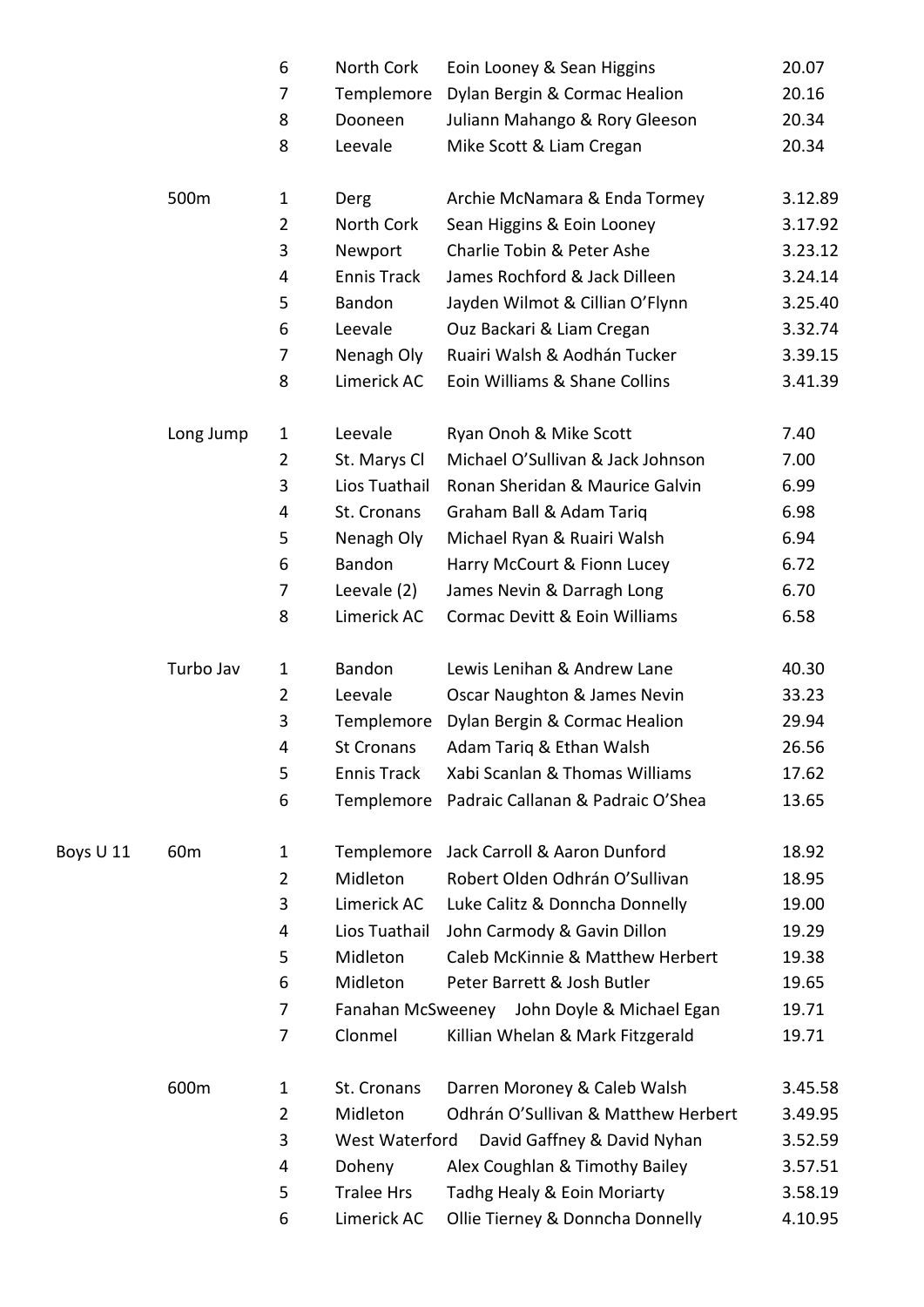|           |                 | 6              | North Cork         | Eoin Looney & Sean Higgins                   | 20.07   |
|-----------|-----------------|----------------|--------------------|----------------------------------------------|---------|
|           |                 | 7              | Templemore         | Dylan Bergin & Cormac Healion                | 20.16   |
|           |                 | 8              | Dooneen            | Juliann Mahango & Rory Gleeson               | 20.34   |
|           |                 | 8              | Leevale            | Mike Scott & Liam Cregan                     | 20.34   |
|           | 500m            | $\mathbf{1}$   | Derg               | Archie McNamara & Enda Tormey                | 3.12.89 |
|           |                 | $\overline{2}$ | North Cork         | Sean Higgins & Eoin Looney                   | 3.17.92 |
|           |                 | 3              | Newport            | Charlie Tobin & Peter Ashe                   | 3.23.12 |
|           |                 | $\overline{4}$ | <b>Ennis Track</b> | James Rochford & Jack Dilleen                | 3.24.14 |
|           |                 | 5              | <b>Bandon</b>      | Jayden Wilmot & Cillian O'Flynn              | 3.25.40 |
|           |                 | 6              | Leevale            | Ouz Backari & Liam Cregan                    | 3.32.74 |
|           |                 | $\overline{7}$ | Nenagh Oly         | Ruairi Walsh & Aodhán Tucker                 | 3.39.15 |
|           |                 | 8              | Limerick AC        | Eoin Williams & Shane Collins                | 3.41.39 |
|           | Long Jump       | $\mathbf 1$    | Leevale            | Ryan Onoh & Mike Scott                       | 7.40    |
|           |                 | $\overline{2}$ | St. Marys Cl       | Michael O'Sullivan & Jack Johnson            | 7.00    |
|           |                 | 3              | Lios Tuathail      | Ronan Sheridan & Maurice Galvin              | 6.99    |
|           |                 | 4              | St. Cronans        | Graham Ball & Adam Tariq                     | 6.98    |
|           |                 | 5              | Nenagh Oly         | Michael Ryan & Ruairi Walsh                  | 6.94    |
|           |                 | 6              | Bandon             | Harry McCourt & Fionn Lucey                  | 6.72    |
|           |                 | $\overline{7}$ | Leevale (2)        | James Nevin & Darragh Long                   | 6.70    |
|           |                 | 8              | Limerick AC        | Cormac Devitt & Eoin Williams                | 6.58    |
|           | Turbo Jav       | 1              | Bandon             | Lewis Lenihan & Andrew Lane                  | 40.30   |
|           |                 | $\overline{2}$ | Leevale            | Oscar Naughton & James Nevin                 | 33.23   |
|           |                 | 3              | Templemore         | Dylan Bergin & Cormac Healion                | 29.94   |
|           |                 | 4              | St Cronans         | Adam Tariq & Ethan Walsh                     | 26.56   |
|           |                 | 5              | <b>Ennis Track</b> | Xabi Scanlan & Thomas Williams               | 17.62   |
|           |                 | 6              |                    | Templemore Padraic Callanan & Padraic O'Shea | 13.65   |
| Boys U 11 | 60 <sub>m</sub> | $\mathbf 1$    | Templemore         | Jack Carroll & Aaron Dunford                 | 18.92   |
|           |                 | $\overline{2}$ | Midleton           | Robert Olden Odhrán O'Sullivan               | 18.95   |
|           |                 | 3              | Limerick AC        | Luke Calitz & Donncha Donnelly               | 19.00   |
|           |                 | 4              | Lios Tuathail      | John Carmody & Gavin Dillon                  | 19.29   |
|           |                 | 5              | Midleton           | Caleb McKinnie & Matthew Herbert             | 19.38   |
|           |                 | 6              | Midleton           | Peter Barrett & Josh Butler                  | 19.65   |
|           |                 | 7              |                    | Fanahan McSweeney John Doyle & Michael Egan  | 19.71   |
|           |                 | $\overline{7}$ | Clonmel            | Killian Whelan & Mark Fitzgerald             | 19.71   |
|           | 600m            | 1              | St. Cronans        | Darren Moroney & Caleb Walsh                 | 3.45.58 |
|           |                 | $\overline{2}$ | Midleton           | Odhrán O'Sullivan & Matthew Herbert          | 3.49.95 |
|           |                 | 3              | West Waterford     | David Gaffney & David Nyhan                  | 3.52.59 |
|           |                 | 4              | Doheny             | Alex Coughlan & Timothy Bailey               | 3.57.51 |
|           |                 | 5              | <b>Tralee Hrs</b>  | Tadhg Healy & Eoin Moriarty                  | 3.58.19 |
|           |                 | 6              | Limerick AC        | Ollie Tierney & Donncha Donnelly             | 4.10.95 |